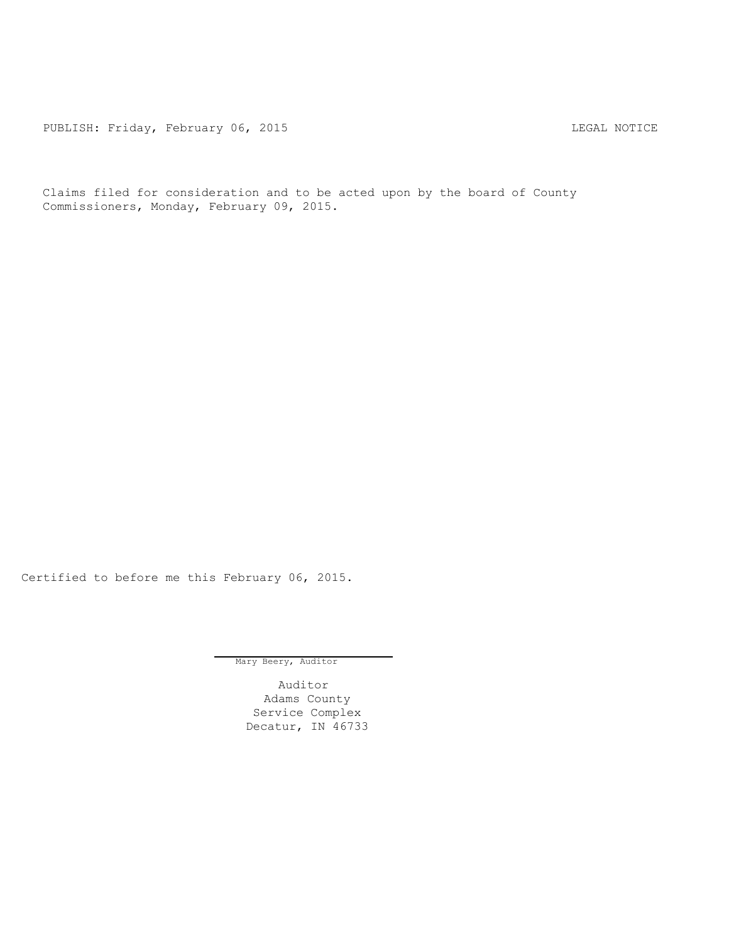PUBLISH: Friday, February 06, 2015 CHA CHANGE CONSTRUCTED MOTICE

Claims filed for consideration and to be acted upon by the board of County Commissioners, Monday, February 09, 2015.

Certified to before me this February 06, 2015.

Mary Beery, Auditor

Auditor Adams County Service Complex Decatur, IN 46733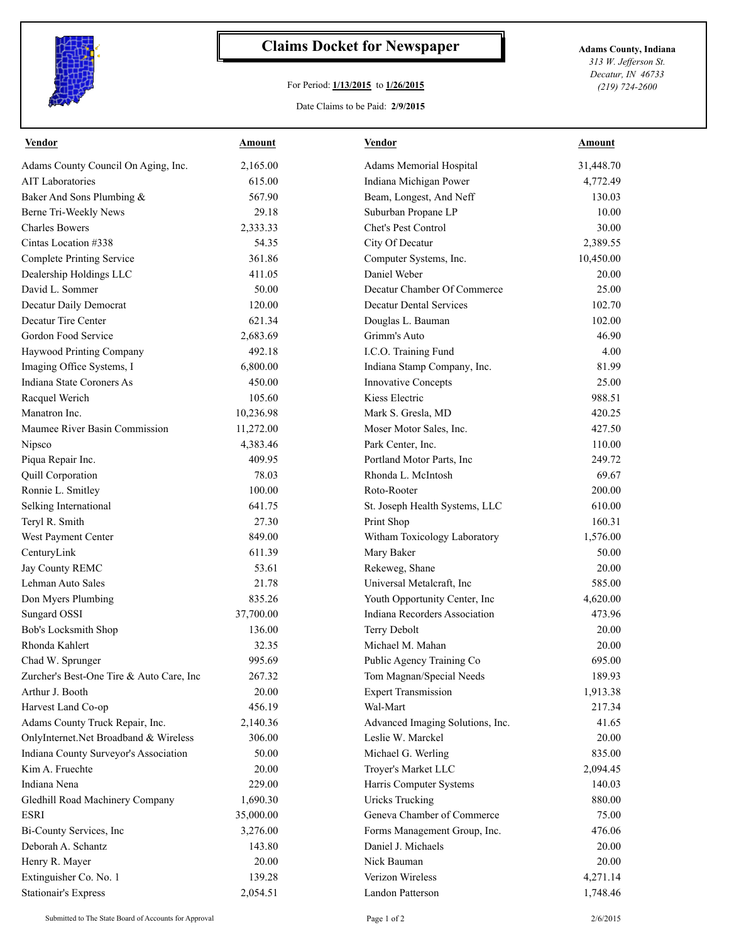

## **Claims Docket for Newspaper Adams County, Indiana**

## For Period: **1/13/2015** to **1/26/2015**

*313 W. Jefferson St. Decatur, IN 46733 (219) 724-2600*

## Date Claims to be Paid: **2/9/2015**

| <b>Vendor</b>                            | <u>Amount</u> | <b>Vendor</b>                    | <b>Amount</b> |
|------------------------------------------|---------------|----------------------------------|---------------|
| Adams County Council On Aging, Inc.      | 2,165.00      | Adams Memorial Hospital          | 31,448.70     |
| <b>AIT Laboratories</b>                  | 615.00        | Indiana Michigan Power           | 4,772.49      |
| Baker And Sons Plumbing &                | 567.90        | Beam, Longest, And Neff          | 130.03        |
| Berne Tri-Weekly News                    | 29.18         | Suburban Propane LP              | 10.00         |
| <b>Charles Bowers</b>                    | 2,333.33      | Chet's Pest Control              | 30.00         |
| Cintas Location #338                     | 54.35         | City Of Decatur                  | 2,389.55      |
| <b>Complete Printing Service</b>         | 361.86        | Computer Systems, Inc.           | 10,450.00     |
| Dealership Holdings LLC                  | 411.05        | Daniel Weber                     | 20.00         |
| David L. Sommer                          | 50.00         | Decatur Chamber Of Commerce      | 25.00         |
| Decatur Daily Democrat                   | 120.00        | <b>Decatur Dental Services</b>   | 102.70        |
| Decatur Tire Center                      | 621.34        | Douglas L. Bauman                | 102.00        |
| Gordon Food Service                      | 2,683.69      | Grimm's Auto                     | 46.90         |
| Haywood Printing Company                 | 492.18        | I.C.O. Training Fund             | 4.00          |
| Imaging Office Systems, I                | 6,800.00      | Indiana Stamp Company, Inc.      | 81.99         |
| Indiana State Coroners As                | 450.00        | <b>Innovative Concepts</b>       | 25.00         |
| Racquel Werich                           | 105.60        | Kiess Electric                   | 988.51        |
| Manatron Inc.                            | 10,236.98     | Mark S. Gresla, MD               | 420.25        |
| Maumee River Basin Commission            | 11,272.00     | Moser Motor Sales, Inc.          | 427.50        |
| Nipsco                                   | 4,383.46      | Park Center, Inc.                | 110.00        |
| Piqua Repair Inc.                        | 409.95        | Portland Motor Parts, Inc        | 249.72        |
| Quill Corporation                        | 78.03         | Rhonda L. McIntosh               | 69.67         |
| Ronnie L. Smitley                        | 100.00        | Roto-Rooter                      | 200.00        |
| Selking International                    | 641.75        | St. Joseph Health Systems, LLC   | 610.00        |
| Teryl R. Smith                           | 27.30         | Print Shop                       | 160.31        |
| West Payment Center                      | 849.00        | Witham Toxicology Laboratory     | 1,576.00      |
| CenturyLink                              | 611.39        | Mary Baker                       | 50.00         |
| Jay County REMC                          | 53.61         | Rekeweg, Shane                   | 20.00         |
| Lehman Auto Sales                        | 21.78         | Universal Metalcraft, Inc        | 585.00        |
| Don Myers Plumbing                       | 835.26        | Youth Opportunity Center, Inc    | 4,620.00      |
| Sungard OSSI                             | 37,700.00     | Indiana Recorders Association    | 473.96        |
| Bob's Locksmith Shop                     | 136.00        | Terry Debolt                     | 20.00         |
| Rhonda Kahlert                           | 32.35         | Michael M. Mahan                 | 20.00         |
| Chad W. Sprunger                         | 995.69        | Public Agency Training Co        | 695.00        |
| Zurcher's Best-One Tire & Auto Care, Inc | 267.32        | Tom Magnan/Special Needs         | 189.93        |
| Arthur J. Booth                          | 20.00         | <b>Expert Transmission</b>       | 1,913.38      |
| Harvest Land Co-op                       | 456.19        | Wal-Mart                         | 217.34        |
| Adams County Truck Repair, Inc.          | 2,140.36      | Advanced Imaging Solutions, Inc. | 41.65         |
| OnlyInternet.Net Broadband & Wireless    | 306.00        | Leslie W. Marckel                | 20.00         |
| Indiana County Surveyor's Association    | 50.00         | Michael G. Werling               | 835.00        |
| Kim A. Fruechte                          | 20.00         | Troyer's Market LLC              | 2,094.45      |
| Indiana Nena                             | 229.00        | Harris Computer Systems          | 140.03        |
| Gledhill Road Machinery Company          | 1,690.30      | <b>Uricks Trucking</b>           | 880.00        |
| <b>ESRI</b>                              | 35,000.00     | Geneva Chamber of Commerce       | 75.00         |
| Bi-County Services, Inc                  | 3,276.00      | Forms Management Group, Inc.     | 476.06        |
| Deborah A. Schantz                       | 143.80        | Daniel J. Michaels               | 20.00         |
| Henry R. Mayer                           | 20.00         | Nick Bauman                      | 20.00         |
| Extinguisher Co. No. 1                   | 139.28        | Verizon Wireless                 | 4,271.14      |
| <b>Stationair's Express</b>              | 2,054.51      | Landon Patterson                 | 1,748.46      |
|                                          |               |                                  |               |